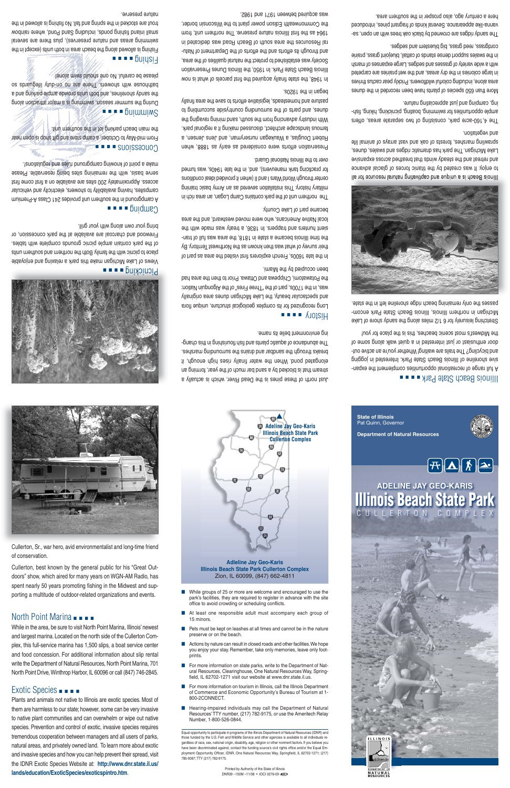## ■■■■ Illinois Beach State Park

A full range of recreational opportunities complement the expansive shoreline of Illinois Beach State Park. Interested in jogging and bicycling? The trails are waiting! Whether you're an active outdoor enthusiast or just interested in <sup>a</sup> quiet walk along some of the Midwest's most scenic beaches, this is the place for you!

Stretching leisurely for 6 1/2 miles along the sandy shore of Lake Michigan in northern Illinois, Illinois Beach State Park encompasses the only remaining beach ridge shoreline left in the state.



Illinois Beach is <sup>a</sup> unique and captivating natural resource for all to enjoy. It was created by the titanic forces of glacial advance and retreat and the steady winds that breathed across expansive Lake Michigan. The park has dramatic ridges and swales, dunes, sprawling marshes, forests of oak and vast arrays of animal life and vegetation.

The 4,160-acre park, consisting of two separate areas, offers ample opportunities for swimming, boating, picnicking, hiking, fishing, camping and just appreciating nature.

More than 650 species of plants have been recorded in the dunes area alone, including colorful wildflowers. Prickly pear cactus thrives in large colonies in the dry areas, and the wet prairies are carpeted with <sup>a</sup> wide variety of grasses and sedges. Large expanses of marsh in the swales support dense stands of cattail, bluejoint grass, prairie cordgrass, reed grass, big bluestem and sedges.

The sandy ridges are crowned by black oak trees with an open, savanna-like appearance. Several kinds of fragrant pines, introduced here <sup>a</sup> century ago, also prosper in the southern area.





#### ■■■■ History

Long recognized for its complex geological structure, unique flora and spectacular beauty, the Lake Michigan dunes area originally was, in the 1700s, part of the "Three Fires" of the Algonquin Nation: the Potawatomi, Chippewa and Ottawa. Prior to then the area had been occupied by the Miami.

In the late 1600s, French explorers first visited the area as part of their survey of what was then known as the Northwest Territory. By time Illinois became a state in 1818, the area was full of transient hunters and trappers. In 1836, <sup>a</sup> treaty was made with the local Native Americans, who were moved westward, and the area became part of Lake County.

Fishing is allowed along the beach area in both units (except in the swimming areas and nature preserves), plus there are several small inland fishing ponds, including Sand Pond, where rainbow trout are stocked in the spring and fall. No finity and in the nature preserve.

# North Point Marina ■■■■■

The northern unit of the park contains Camp Logan, an area rich in prinitary orientations are personed as an Army basic training center through World Wars I and II (when it provided ideal conditions for practicing tank maneuvers), and, in the late 1940s, was turned over to the Illinois National Guard.

Preservation efforts were considered as early as 1888, when Robert Douglas, <sup>a</sup> Waukegan nurseryman, and Jens Jensen, <sup>a</sup> famous landscape architect, discussed making it <sup>a</sup> regional park. With industry advancing from the south, sand mining ravaging the ding the surrounding of pursons of the surrounding to sump to pasture and homesteads, legislative efforts to save the area finally began in the 1920s.

- While groups of 25 or more are welcome and encouraged to use the park's facilities, they are required to register in advance with the site office to avoid crowding or scheduling conflicts.
- At least one responsible adult must accompany each group of 15 minors.
- Pets must be kept on leashes at all times and cannot be in the nature preserve or on the beach.
- Actions by nature can result in closed roads and other facilities. We hope you enjoy your stay. Remember, take only memories, leave only footprints.
- For more information on state parks, write to the Department of Natural Resources, Clearinghouse, One Natural Resources Way, Springfield, IL 62702-1271 visit our website at www.dnr.state.il.us.
- For more information on tourism in Illinois, call the Illinois Department of Commerce and Economic Opportunity's Bureau of Tourism at 1- 800-2CONNECT.
- Hearing-impaired individuals may call the Department of Natural Resources'TTY number, (217) 782-9175, or use the Ameritech Relay Number, 1-800-526-0844.

In 1948, the state finally acquired the first parcels of what is now Illinois Beach State Park. In 1950, the Illinois Dunes Preservation Society was established to protect the natural qualities of the area, and through its efforts and the efforts of the Department of Natural Resources the area south of Beach Road was dedicated in 1964 as the first Illinois nature preserve. The northern unit, from the Commonwealth Edison power plant to the Wisconsin border, was acquired between 1971 and 1982.

### ■■■■ Picnicking

Views of Lake Michigan make this park <sup>a</sup> relaxing and enjoyable place to picnic with the family. Both the northern and southern units of the park contain ample picnic grounds complete with tables. Firewood and charcoal are available at the park concession, or bring your own along with your grill.

### ■■■■ Camping

A campground in the southern unit provides 241 Class A-Premium campsites, having availability to showers, electricity and vehicular access. Approximately 200 sites are available on <sup>a</sup> first come first serve basis, with the remaining sites being reservable. Please make <sup>a</sup> point of knowing campground rules and regulations!.

## ■■■■ Concessions

From mid-May to October, <sup>a</sup> camp store and gift shop is open near the main beach parking lot in the southern unit.

### ■■■■ Swimming

During the summer season, swimming is <sup>a</sup> major attraction along the sandy shorelines, and both units provide ample parking and <sup>a</sup> bathouse with showers. There are no on-dub lifeguards so please be careful. No one should swim alone!

### ■■■■ Fishing

**State of Illinois** Pat Quinn, Governor **Department of Natural Resources**







#### **Illinois Beach State Park Cullerton Complex** Zion, IL 60099, (847) 662-4811



Equal opportunity to participate in programs of the Illinois Department of Natural Resources (IDNR) and those funded by the U.S. Fish and Wildlife Service and other agencies is available to all individuals regardless of race, sex, national origin, disability, age, religion or other nonmerit factors. If you believe you have been discriminated against, contact the funding source's civil rights office and/or the Equal Employment Opportunity Officer, IDNR, One Natural Resources Way, Springfield, IL 62702-1271; (217) 785-0067; TTY (217) 782-9175.

> Printed by Authority of the State of Illinois DNR39 –150M –11/08 • IOCI 0276-09

Cullerton, Sr., war hero, avid environmentalist and long-time friend of conservation.



Cullerton, best known by the general public for his "Great Outdoors" show, which aired for many years on WGN-AM Radio, has spent nearly 50 years promoting fishing in the Midwest and supporting a multitude of outdoor-related organizations and events.

While in the area, be sure to visit North Point Marina, Illinois' newest and largest marina. Located on the north side of the Cullerton Complex, this full-service marina has 1,500 slips, a boat service center and food concession. For additional information about slip rental write the Department of Natural Resources, North Point Marina, 701 North Point Drive, Winthrop Harbor, IL 60096 or call (847) 746-2845.

# Exotic Species ■■■■

Plants and animals not native to Illinois are exotic species. Most of them are harmless to our state; however, some can be very invasive to native plant communities and can overwhelm or wipe out native species. Prevention and control of exotic, invasive species requires tremendous cooperation between managers and all users of parks, natural areas, and privately owned land. To learn more about exotic and invasive species and how you can help prevent their spread, visit the IDNR Exotic Species Website at: **http://www.dnr.state.il.us/ lands/education/ExoticSpecies/exoticspintro.htm**.